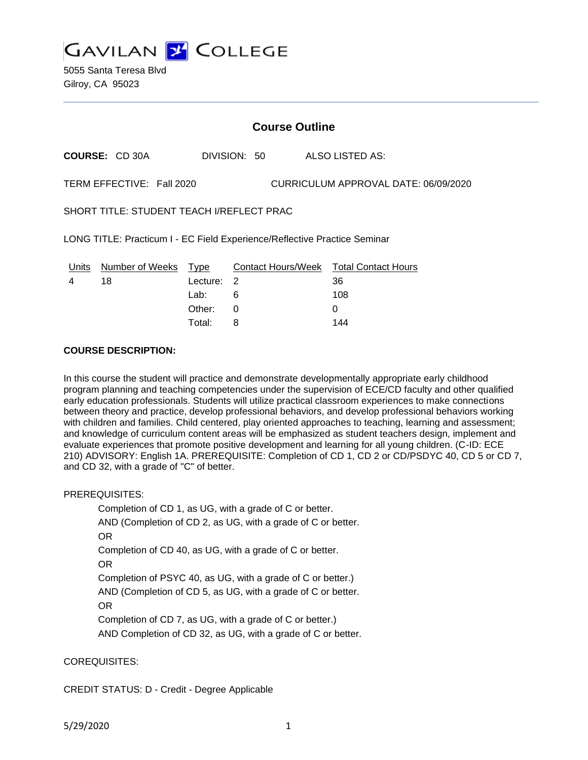

5055 Santa Teresa Blvd Gilroy, CA 95023

# **Course Outline**

**COURSE:** CD 30A DIVISION: 50 ALSO LISTED AS:

TERM EFFECTIVE: Fall 2020 CURRICULUM APPROVAL DATE: 06/09/2020

SHORT TITLE: STUDENT TEACH I/REFLECT PRAC

LONG TITLE: Practicum I - EC Field Experience/Reflective Practice Seminar

| Units | Number of Weeks Type |            | Contact Hours/Week Total Contact Hours |     |
|-------|----------------------|------------|----------------------------------------|-----|
|       | 18                   | Lecture: 2 |                                        | 36  |
|       |                      | Lab:       |                                        | 108 |
|       |                      | Other:     |                                        |     |
|       |                      | Total:     |                                        | 144 |

#### **COURSE DESCRIPTION:**

In this course the student will practice and demonstrate developmentally appropriate early childhood program planning and teaching competencies under the supervision of ECE/CD faculty and other qualified early education professionals. Students will utilize practical classroom experiences to make connections between theory and practice, develop professional behaviors, and develop professional behaviors working with children and families. Child centered, play oriented approaches to teaching, learning and assessment; and knowledge of curriculum content areas will be emphasized as student teachers design, implement and evaluate experiences that promote positive development and learning for all young children. (C-ID: ECE 210) ADVISORY: English 1A. PREREQUISITE: Completion of CD 1, CD 2 or CD/PSDYC 40, CD 5 or CD 7, and CD 32, with a grade of "C" of better.

PREREQUISITES:

Completion of CD 1, as UG, with a grade of C or better.

AND (Completion of CD 2, as UG, with a grade of C or better. OR

Completion of CD 40, as UG, with a grade of C or better.

OR

Completion of PSYC 40, as UG, with a grade of C or better.) AND (Completion of CD 5, as UG, with a grade of C or better.

OR

Completion of CD 7, as UG, with a grade of C or better.) AND Completion of CD 32, as UG, with a grade of C or better.

COREQUISITES:

CREDIT STATUS: D - Credit - Degree Applicable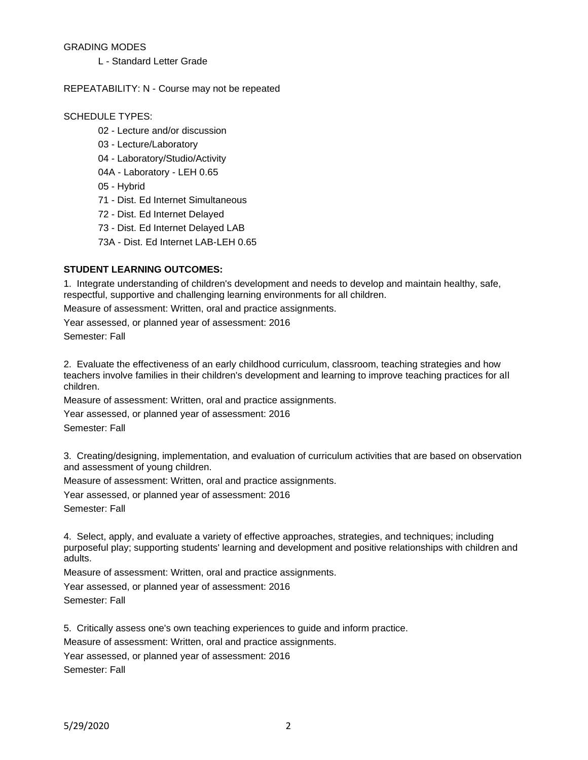#### GRADING MODES

L - Standard Letter Grade

#### REPEATABILITY: N - Course may not be repeated

#### SCHEDULE TYPES:

- 02 Lecture and/or discussion
- 03 Lecture/Laboratory
- 04 Laboratory/Studio/Activity
- 04A Laboratory LEH 0.65
- 05 Hybrid
- 71 Dist. Ed Internet Simultaneous
- 72 Dist. Ed Internet Delayed
- 73 Dist. Ed Internet Delayed LAB
- 73A Dist. Ed Internet LAB-LEH 0.65

## **STUDENT LEARNING OUTCOMES:**

1. Integrate understanding of children's development and needs to develop and maintain healthy, safe, respectful, supportive and challenging learning environments for all children.

Measure of assessment: Written, oral and practice assignments.

Year assessed, or planned year of assessment: 2016 Semester: Fall

2. Evaluate the effectiveness of an early childhood curriculum, classroom, teaching strategies and how teachers involve families in their children's development and learning to improve teaching practices for all children.

Measure of assessment: Written, oral and practice assignments.

Year assessed, or planned year of assessment: 2016 Semester: Fall

3. Creating/designing, implementation, and evaluation of curriculum activities that are based on observation and assessment of young children.

Measure of assessment: Written, oral and practice assignments.

Year assessed, or planned year of assessment: 2016 Semester: Fall

4. Select, apply, and evaluate a variety of effective approaches, strategies, and techniques; including purposeful play; supporting students' learning and development and positive relationships with children and adults.

Measure of assessment: Written, oral and practice assignments.

Year assessed, or planned year of assessment: 2016

Semester: Fall

5. Critically assess one's own teaching experiences to guide and inform practice.

Measure of assessment: Written, oral and practice assignments.

Year assessed, or planned year of assessment: 2016 Semester: Fall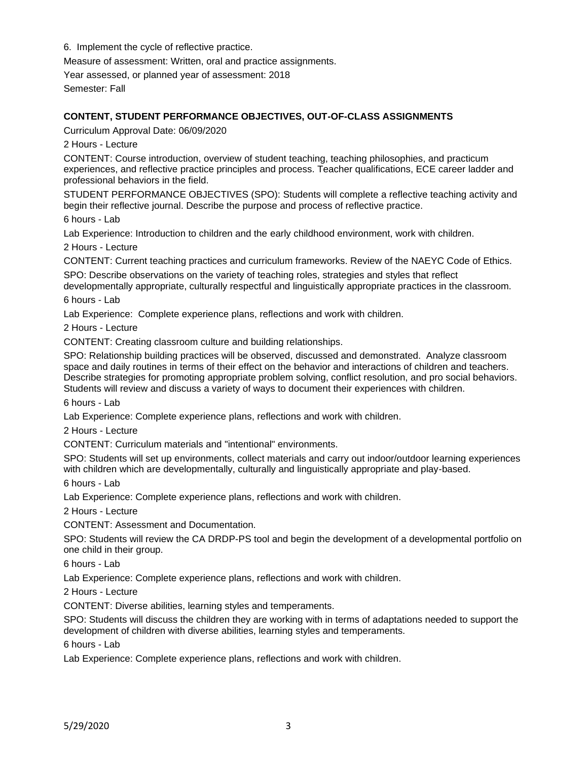6. Implement the cycle of reflective practice.

Measure of assessment: Written, oral and practice assignments.

Year assessed, or planned year of assessment: 2018

Semester: Fall

## **CONTENT, STUDENT PERFORMANCE OBJECTIVES, OUT-OF-CLASS ASSIGNMENTS**

Curriculum Approval Date: 06/09/2020

2 Hours - Lecture

CONTENT: Course introduction, overview of student teaching, teaching philosophies, and practicum experiences, and reflective practice principles and process. Teacher qualifications, ECE career ladder and professional behaviors in the field.

STUDENT PERFORMANCE OBJECTIVES (SPO): Students will complete a reflective teaching activity and begin their reflective journal. Describe the purpose and process of reflective practice.

6 hours - Lab

Lab Experience: Introduction to children and the early childhood environment, work with children.

2 Hours - Lecture

CONTENT: Current teaching practices and curriculum frameworks. Review of the NAEYC Code of Ethics.

SPO: Describe observations on the variety of teaching roles, strategies and styles that reflect developmentally appropriate, culturally respectful and linguistically appropriate practices in the classroom.

6 hours - Lab

Lab Experience: Complete experience plans, reflections and work with children.

2 Hours - Lecture

CONTENT: Creating classroom culture and building relationships.

SPO: Relationship building practices will be observed, discussed and demonstrated. Analyze classroom space and daily routines in terms of their effect on the behavior and interactions of children and teachers. Describe strategies for promoting appropriate problem solving, conflict resolution, and pro social behaviors. Students will review and discuss a variety of ways to document their experiences with children.

6 hours - Lab

Lab Experience: Complete experience plans, reflections and work with children.

2 Hours - Lecture

CONTENT: Curriculum materials and "intentional" environments.

SPO: Students will set up environments, collect materials and carry out indoor/outdoor learning experiences with children which are developmentally, culturally and linguistically appropriate and play-based.

6 hours - Lab

Lab Experience: Complete experience plans, reflections and work with children.

2 Hours - Lecture

CONTENT: Assessment and Documentation.

SPO: Students will review the CA DRDP-PS tool and begin the development of a developmental portfolio on one child in their group.

6 hours - Lab

Lab Experience: Complete experience plans, reflections and work with children.

2 Hours - Lecture

CONTENT: Diverse abilities, learning styles and temperaments.

SPO: Students will discuss the children they are working with in terms of adaptations needed to support the development of children with diverse abilities, learning styles and temperaments.

6 hours - Lab

Lab Experience: Complete experience plans, reflections and work with children.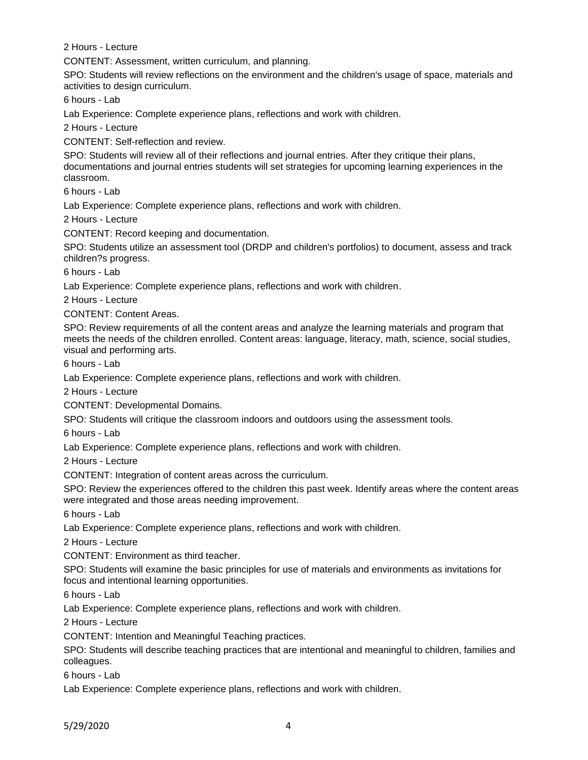2 Hours - Lecture

CONTENT: Assessment, written curriculum, and planning.

SPO: Students will review reflections on the environment and the children's usage of space, materials and activities to design curriculum.

6 hours - Lab

Lab Experience: Complete experience plans, reflections and work with children.

2 Hours - Lecture

CONTENT: Self-reflection and review.

SPO: Students will review all of their reflections and journal entries. After they critique their plans, documentations and journal entries students will set strategies for upcoming learning experiences in the classroom.

6 hours - Lab

Lab Experience: Complete experience plans, reflections and work with children.

2 Hours - Lecture

CONTENT: Record keeping and documentation.

SPO: Students utilize an assessment tool (DRDP and children's portfolios) to document, assess and track children?s progress.

6 hours - Lab

Lab Experience: Complete experience plans, reflections and work with children.

2 Hours - Lecture

CONTENT: Content Areas.

SPO: Review requirements of all the content areas and analyze the learning materials and program that meets the needs of the children enrolled. Content areas: language, literacy, math, science, social studies, visual and performing arts.

6 hours - Lab

Lab Experience: Complete experience plans, reflections and work with children.

2 Hours - Lecture

CONTENT: Developmental Domains.

SPO: Students will critique the classroom indoors and outdoors using the assessment tools.

6 hours - Lab

Lab Experience: Complete experience plans, reflections and work with children.

2 Hours - Lecture

CONTENT: Integration of content areas across the curriculum.

SPO: Review the experiences offered to the children this past week. Identify areas where the content areas were integrated and those areas needing improvement.

6 hours - Lab

Lab Experience: Complete experience plans, reflections and work with children.

2 Hours - Lecture

CONTENT: Environment as third teacher.

SPO: Students will examine the basic principles for use of materials and environments as invitations for focus and intentional learning opportunities.

6 hours - Lab

Lab Experience: Complete experience plans, reflections and work with children.

2 Hours - Lecture

CONTENT: Intention and Meaningful Teaching practices.

SPO: Students will describe teaching practices that are intentional and meaningful to children, families and colleagues.

6 hours - Lab

Lab Experience: Complete experience plans, reflections and work with children.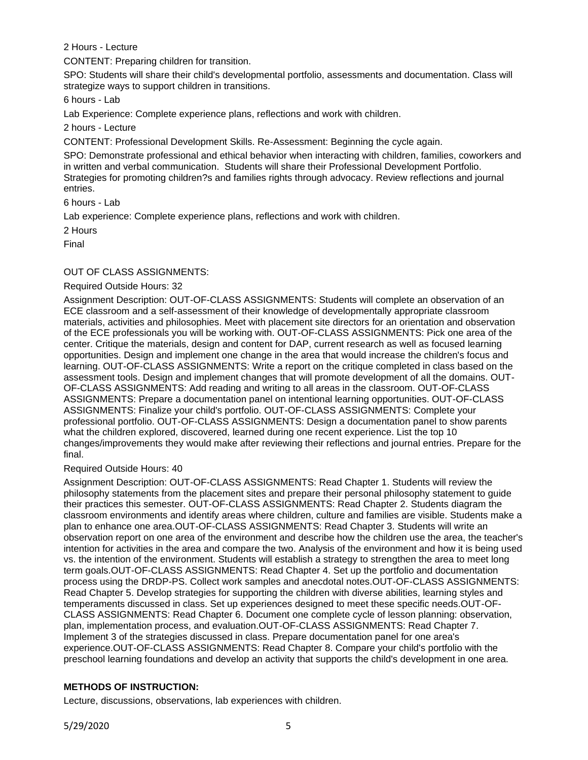2 Hours - Lecture

CONTENT: Preparing children for transition.

SPO: Students will share their child's developmental portfolio, assessments and documentation. Class will strategize ways to support children in transitions.

6 hours - Lab

Lab Experience: Complete experience plans, reflections and work with children.

2 hours - Lecture

CONTENT: Professional Development Skills. Re-Assessment: Beginning the cycle again.

SPO: Demonstrate professional and ethical behavior when interacting with children, families, coworkers and in written and verbal communication. Students will share their Professional Development Portfolio. Strategies for promoting children?s and families rights through advocacy. Review reflections and journal entries.

6 hours - Lab

Lab experience: Complete experience plans, reflections and work with children.

2 Hours

Final

## OUT OF CLASS ASSIGNMENTS:

## Required Outside Hours: 32

Assignment Description: OUT-OF-CLASS ASSIGNMENTS: Students will complete an observation of an ECE classroom and a self-assessment of their knowledge of developmentally appropriate classroom materials, activities and philosophies. Meet with placement site directors for an orientation and observation of the ECE professionals you will be working with. OUT-OF-CLASS ASSIGNMENTS: Pick one area of the center. Critique the materials, design and content for DAP, current research as well as focused learning opportunities. Design and implement one change in the area that would increase the children's focus and learning. OUT-OF-CLASS ASSIGNMENTS: Write a report on the critique completed in class based on the assessment tools. Design and implement changes that will promote development of all the domains. OUT-OF-CLASS ASSIGNMENTS: Add reading and writing to all areas in the classroom. OUT-OF-CLASS ASSIGNMENTS: Prepare a documentation panel on intentional learning opportunities. OUT-OF-CLASS ASSIGNMENTS: Finalize your child's portfolio. OUT-OF-CLASS ASSIGNMENTS: Complete your professional portfolio. OUT-OF-CLASS ASSIGNMENTS: Design a documentation panel to show parents what the children explored, discovered, learned during one recent experience. List the top 10 changes/improvements they would make after reviewing their reflections and journal entries. Prepare for the final.

## Required Outside Hours: 40

Assignment Description: OUT-OF-CLASS ASSIGNMENTS: Read Chapter 1. Students will review the philosophy statements from the placement sites and prepare their personal philosophy statement to guide their practices this semester. OUT-OF-CLASS ASSIGNMENTS: Read Chapter 2. Students diagram the classroom environments and identify areas where children, culture and families are visible. Students make a plan to enhance one area.OUT-OF-CLASS ASSIGNMENTS: Read Chapter 3. Students will write an observation report on one area of the environment and describe how the children use the area, the teacher's intention for activities in the area and compare the two. Analysis of the environment and how it is being used vs. the intention of the environment. Students will establish a strategy to strengthen the area to meet long term goals.OUT-OF-CLASS ASSIGNMENTS: Read Chapter 4. Set up the portfolio and documentation process using the DRDP-PS. Collect work samples and anecdotal notes.OUT-OF-CLASS ASSIGNMENTS: Read Chapter 5. Develop strategies for supporting the children with diverse abilities, learning styles and temperaments discussed in class. Set up experiences designed to meet these specific needs.OUT-OF-CLASS ASSIGNMENTS: Read Chapter 6. Document one complete cycle of lesson planning: observation, plan, implementation process, and evaluation.OUT-OF-CLASS ASSIGNMENTS: Read Chapter 7. Implement 3 of the strategies discussed in class. Prepare documentation panel for one area's experience.OUT-OF-CLASS ASSIGNMENTS: Read Chapter 8. Compare your child's portfolio with the preschool learning foundations and develop an activity that supports the child's development in one area.

# **METHODS OF INSTRUCTION:**

Lecture, discussions, observations, lab experiences with children.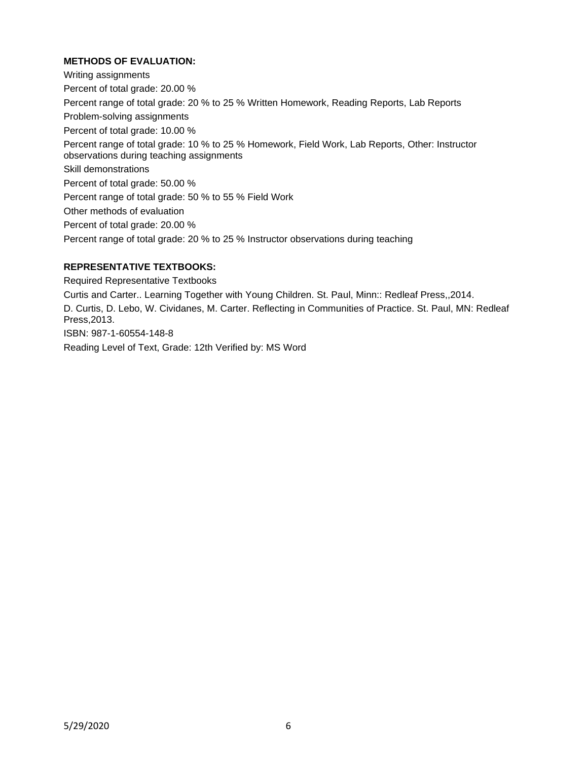# **METHODS OF EVALUATION:**

Writing assignments Percent of total grade: 20.00 % Percent range of total grade: 20 % to 25 % Written Homework, Reading Reports, Lab Reports Problem-solving assignments Percent of total grade: 10.00 % Percent range of total grade: 10 % to 25 % Homework, Field Work, Lab Reports, Other: Instructor observations during teaching assignments Skill demonstrations Percent of total grade: 50.00 % Percent range of total grade: 50 % to 55 % Field Work Other methods of evaluation Percent of total grade: 20.00 % Percent range of total grade: 20 % to 25 % Instructor observations during teaching

## **REPRESENTATIVE TEXTBOOKS:**

Required Representative Textbooks

Curtis and Carter.. Learning Together with Young Children. St. Paul, Minn:: Redleaf Press,,2014. D. Curtis, D. Lebo, W. Cividanes, M. Carter. Reflecting in Communities of Practice. St. Paul, MN: Redleaf Press,2013. ISBN: 987-1-60554-148-8

Reading Level of Text, Grade: 12th Verified by: MS Word